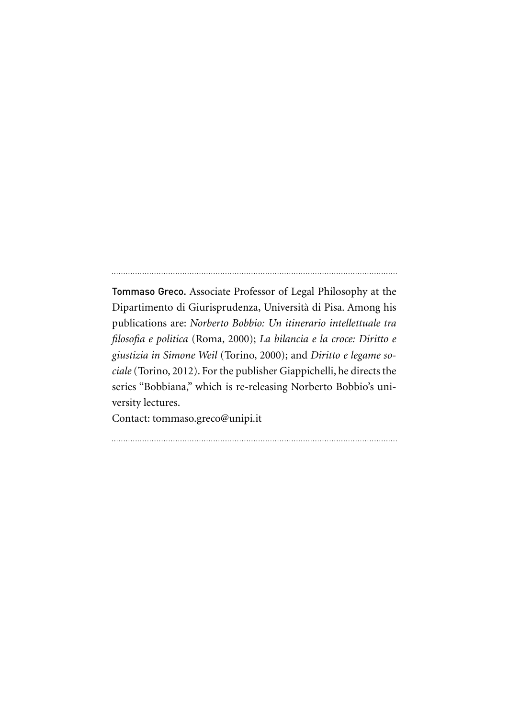Tommaso Greco. Associate Professor of Legal Philosophy at the Dipartimento di Giurisprudenza, Università di Pisa. Among his publications are: *Norberto Bobbio: Un itinerario intellettuale tra filosofia e politica* (Roma, 2000); *La bilancia e la croce: Diritto e giustizia in Simone Weil* (Torino, 2000); and *Diritto e legame sociale* (Torino, 2012). For the publisher Giappichelli, he directs the series "Bobbiana," which is re-releasing Norberto Bobbio's university lectures.

Contact: tommaso.greco@unipi.it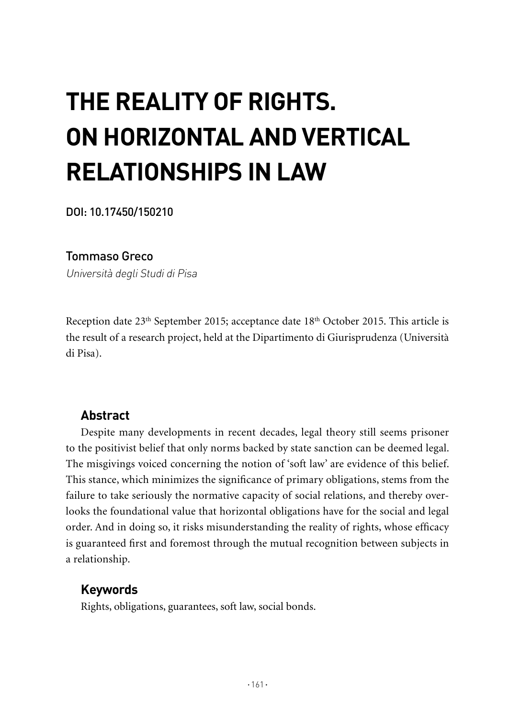# **THE REALITY OF RIGHTS. ON HORIZONTAL AND VERTICAL RELATIONSHIPS IN LAW**

DOI: 10.17450/150210

## Tommaso Greco

Università degli Studi di Pisa

Reception date  $23<sup>th</sup>$  September 2015; acceptance date  $18<sup>th</sup>$  October 2015. This article is the result of a research project, held at the Dipartimento di Giurisprudenza (Università di Pisa).

## **Abstract**

Despite many developments in recent decades, legal theory still seems prisoner to the positivist belief that only norms backed by state sanction can be deemed legal. The misgivings voiced concerning the notion of 'soft law' are evidence of this belief. This stance, which minimizes the significance of primary obligations, stems from the failure to take seriously the normative capacity of social relations, and thereby overlooks the foundational value that horizontal obligations have for the social and legal order. And in doing so, it risks misunderstanding the reality of rights, whose efficacy is guaranteed first and foremost through the mutual recognition between subjects in a relationship.

## **Keywords**

Rights, obligations, guarantees, soft law, social bonds.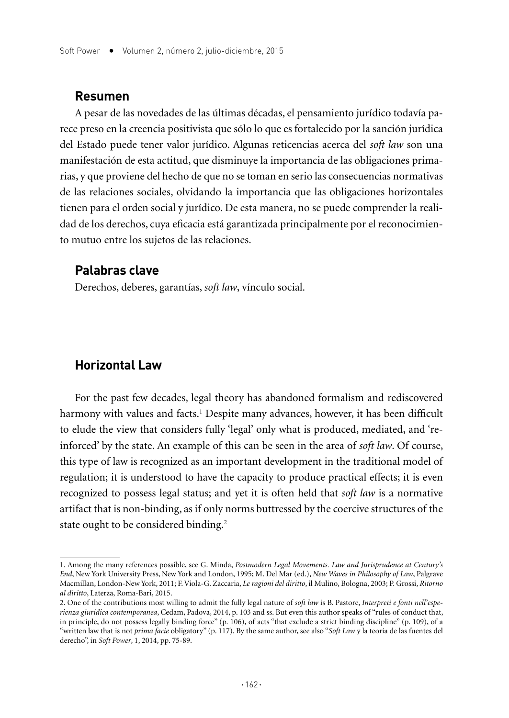#### **Resumen**

A pesar de las novedades de las últimas décadas, el pensamiento jurídico todavía parece preso en la creencia positivista que sólo lo que es fortalecido por la sanción jurídica del Estado puede tener valor jurídico. Algunas reticencias acerca del *soft law* son una manifestación de esta actitud, que disminuye la importancia de las obligaciones primarias, y que proviene del hecho de que no se toman en serio las consecuencias normativas de las relaciones sociales, olvidando la importancia que las obligaciones horizontales tienen para el orden social y jurídico. De esta manera, no se puede comprender la realidad de los derechos, cuya eficacia está garantizada principalmente por el reconocimiento mutuo entre los sujetos de las relaciones.

## **Palabras clave**

Derechos, deberes, garantías, *soft law*, vínculo social.

### **Horizontal Law**

For the past few decades, legal theory has abandoned formalism and rediscovered harmony with values and facts.<sup>1</sup> Despite many advances, however, it has been difficult to elude the view that considers fully 'legal' only what is produced, mediated, and 'reinforced' by the state. An example of this can be seen in the area of *soft law*. Of course, this type of law is recognized as an important development in the traditional model of regulation; it is understood to have the capacity to produce practical effects; it is even recognized to possess legal status; and yet it is often held that *soft law* is a normative artifact that is non-binding, as if only norms buttressed by the coercive structures of the state ought to be considered binding.<sup>2</sup>

<sup>1.</sup> Among the many references possible, see G. Minda, *Postmodern Legal Movements. Law and Jurisprudence at Century's End*, New York University Press, New York and London, 1995; M. Del Mar (ed.), *New Waves in Philosophy of Law*, Palgrave Macmillan, London-New York, 2011; F. Viola-G. Zaccaria, *Le ragioni del diritto*, il Mulino, Bologna, 2003; P. Grossi, *Ritorno al diritto*, Laterza, Roma-Bari, 2015.

<sup>2.</sup> One of the contributions most willing to admit the fully legal nature of *soft law* is B. Pastore, *Interpreti e fonti nell'esperienza giuridica contemporanea*, Cedam, Padova, 2014, p. 103 and ss. But even this author speaks of "rules of conduct that, in principle, do not possess legally binding force" (p. 106), of acts "that exclude a strict binding discipline" (p. 109), of a "written law that is not *prima facie* obligatory" (p. 117). By the same author, see also "*Soft Law* y la teoría de las fuentes del derecho", in *Soft Power*, 1, 2014, pp. 75-89.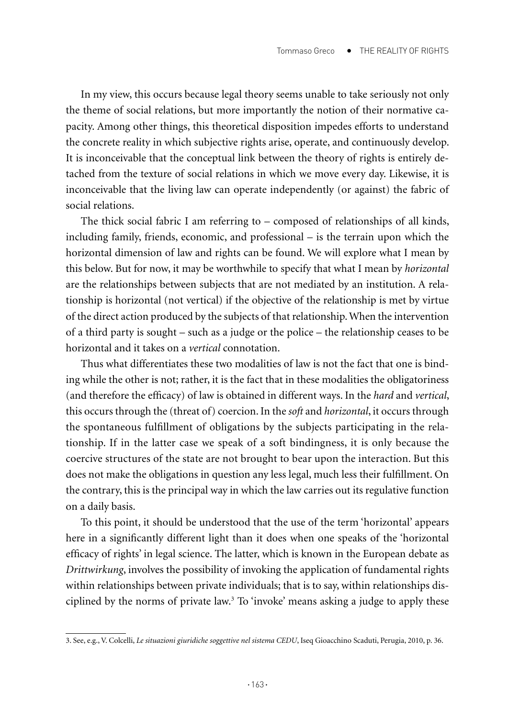In my view, this occurs because legal theory seems unable to take seriously not only the theme of social relations, but more importantly the notion of their normative capacity. Among other things, this theoretical disposition impedes efforts to understand the concrete reality in which subjective rights arise, operate, and continuously develop. It is inconceivable that the conceptual link between the theory of rights is entirely detached from the texture of social relations in which we move every day. Likewise, it is inconceivable that the living law can operate independently (or against) the fabric of social relations.

The thick social fabric I am referring to – composed of relationships of all kinds, including family, friends, economic, and professional – is the terrain upon which the horizontal dimension of law and rights can be found. We will explore what I mean by this below. But for now, it may be worthwhile to specify that what I mean by *horizontal*  are the relationships between subjects that are not mediated by an institution. A relationship is horizontal (not vertical) if the objective of the relationship is met by virtue of the direct action produced by the subjects of that relationship. When the intervention of a third party is sought – such as a judge or the police – the relationship ceases to be horizontal and it takes on a *vertical* connotation.

Thus what differentiates these two modalities of law is not the fact that one is binding while the other is not; rather, it is the fact that in these modalities the obligatoriness (and therefore the efficacy) of law is obtained in different ways. In the *hard* and *vertical*, this occurs through the (threat of) coercion. In the *soft* and *horizontal*, it occurs through the spontaneous fulfillment of obligations by the subjects participating in the relationship. If in the latter case we speak of a soft bindingness, it is only because the coercive structures of the state are not brought to bear upon the interaction. But this does not make the obligations in question any less legal, much less their fulfillment. On the contrary, this is the principal way in which the law carries out its regulative function on a daily basis.

To this point, it should be understood that the use of the term 'horizontal' appears here in a significantly different light than it does when one speaks of the 'horizontal efficacy of rights' in legal science. The latter, which is known in the European debate as *Drittwirkung*, involves the possibility of invoking the application of fundamental rights within relationships between private individuals; that is to say, within relationships disciplined by the norms of private law.<sup>3</sup> To 'invoke' means asking a judge to apply these

<sup>3.</sup> See, e.g., V. Colcelli, *Le situazioni giuridiche soggettive nel sistema CEDU*, Iseq Gioacchino Scaduti, Perugia, 2010, p. 36.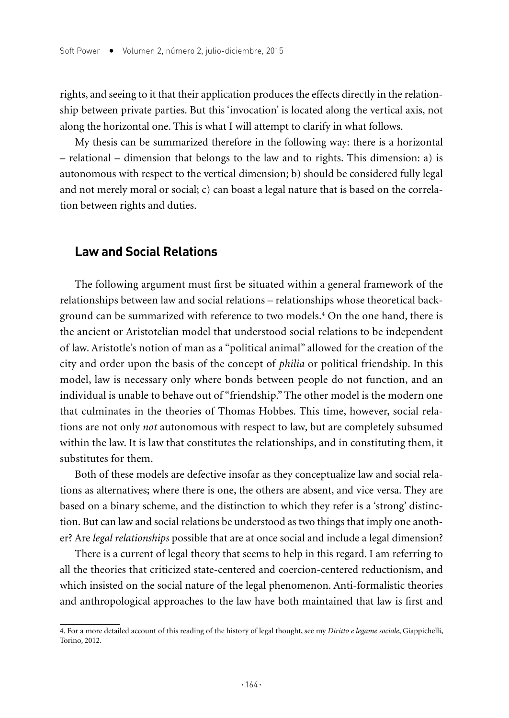rights, and seeing to it that their application produces the effects directly in the relationship between private parties. But this 'invocation' is located along the vertical axis, not along the horizontal one. This is what I will attempt to clarify in what follows.

My thesis can be summarized therefore in the following way: there is a horizontal – relational – dimension that belongs to the law and to rights. This dimension: a) is autonomous with respect to the vertical dimension; b) should be considered fully legal and not merely moral or social; c) can boast a legal nature that is based on the correlation between rights and duties.

#### **Law and Social Relations**

The following argument must first be situated within a general framework of the relationships between law and social relations – relationships whose theoretical background can be summarized with reference to two models.4 On the one hand, there is the ancient or Aristotelian model that understood social relations to be independent of law. Aristotle's notion of man as a "political animal" allowed for the creation of the city and order upon the basis of the concept of *philia* or political friendship. In this model, law is necessary only where bonds between people do not function, and an individual is unable to behave out of "friendship." The other model is the modern one that culminates in the theories of Thomas Hobbes. This time, however, social relations are not only *not* autonomous with respect to law, but are completely subsumed within the law. It is law that constitutes the relationships, and in constituting them, it substitutes for them.

Both of these models are defective insofar as they conceptualize law and social relations as alternatives; where there is one, the others are absent, and vice versa. They are based on a binary scheme, and the distinction to which they refer is a 'strong' distinction. But can law and social relations be understood as two things that imply one another? Are *legal relationships* possible that are at once social and include a legal dimension?

There is a current of legal theory that seems to help in this regard. I am referring to all the theories that criticized state-centered and coercion-centered reductionism, and which insisted on the social nature of the legal phenomenon. Anti-formalistic theories and anthropological approaches to the law have both maintained that law is first and

<sup>4.</sup> For a more detailed account of this reading of the history of legal thought, see my *Diritto e legame sociale*, Giappichelli, Torino, 2012.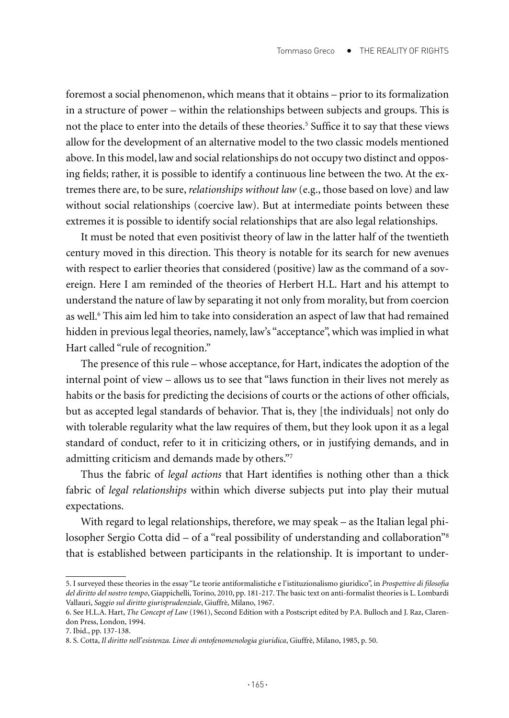foremost a social phenomenon, which means that it obtains – prior to its formalization in a structure of power – within the relationships between subjects and groups. This is not the place to enter into the details of these theories.<sup>5</sup> Suffice it to say that these views allow for the development of an alternative model to the two classic models mentioned above. In this model, law and social relationships do not occupy two distinct and opposing fields; rather, it is possible to identify a continuous line between the two. At the extremes there are, to be sure, *relationships without law* (e.g., those based on love) and law without social relationships (coercive law). But at intermediate points between these extremes it is possible to identify social relationships that are also legal relationships.

It must be noted that even positivist theory of law in the latter half of the twentieth century moved in this direction. This theory is notable for its search for new avenues with respect to earlier theories that considered (positive) law as the command of a sovereign. Here I am reminded of the theories of Herbert H.L. Hart and his attempt to understand the nature of law by separating it not only from morality, but from coercion as well.6 This aim led him to take into consideration an aspect of law that had remained hidden in previous legal theories, namely, law's "acceptance", which was implied in what Hart called "rule of recognition."

The presence of this rule – whose acceptance, for Hart, indicates the adoption of the internal point of view – allows us to see that "laws function in their lives not merely as habits or the basis for predicting the decisions of courts or the actions of other officials, but as accepted legal standards of behavior. That is, they [the individuals] not only do with tolerable regularity what the law requires of them, but they look upon it as a legal standard of conduct, refer to it in criticizing others, or in justifying demands, and in admitting criticism and demands made by others."7

Thus the fabric of *legal actions* that Hart identifies is nothing other than a thick fabric of *legal relationships* within which diverse subjects put into play their mutual expectations.

With regard to legal relationships, therefore, we may speak – as the Italian legal philosopher Sergio Cotta did – of a "real possibility of understanding and collaboration"<sup>8</sup> that is established between participants in the relationship. It is important to under-

<sup>5.</sup> I surveyed these theories in the essay "Le teorie antiformalistiche e l'istituzionalismo giuridico", in *Prospettive di filosofia del diritto del nostro tempo*, Giappichelli, Torino, 2010, pp. 181-217. The basic text on anti-formalist theories is L. Lombardi Vallauri, *Saggio sul diritto giurisprudenziale*, Giuffrè, Milano, 1967.

<sup>6.</sup> See H.L.A. Hart, *The Concept of Law* (1961), Second Edition with a Postscript edited by P.A. Bulloch and J. Raz, Clarendon Press, London, 1994.

<sup>7.</sup> Ibid., pp. 137-138.

<sup>8.</sup> S. Cotta, *Il diritto nell'esistenza. Linee di ontofenomenologia giuridica*, Giuffrè, Milano, 1985, p. 50.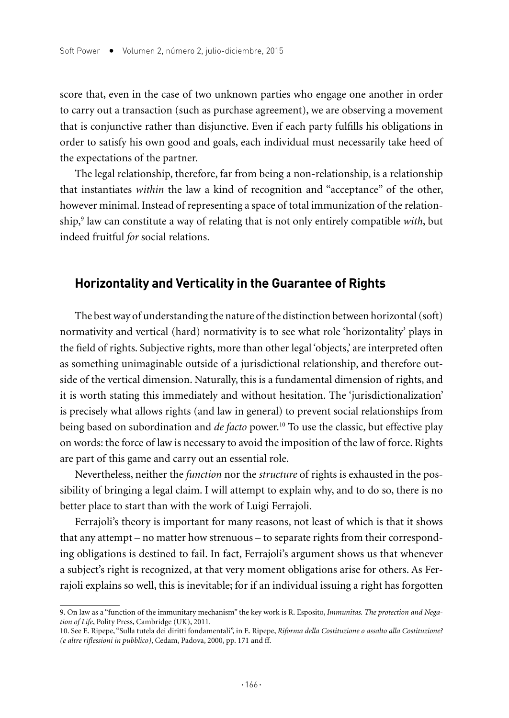score that, even in the case of two unknown parties who engage one another in order to carry out a transaction (such as purchase agreement), we are observing a movement that is conjunctive rather than disjunctive. Even if each party fulfills his obligations in order to satisfy his own good and goals, each individual must necessarily take heed of the expectations of the partner.

The legal relationship, therefore, far from being a non-relationship, is a relationship that instantiates *within* the law a kind of recognition and "acceptance" of the other, however minimal. Instead of representing a space of total immunization of the relationship,9 law can constitute a way of relating that is not only entirely compatible *with*, but indeed fruitful *for* social relations.

## **Horizontality and Verticality in the Guarantee of Rights**

The best way of understanding the nature of the distinction between horizontal (soft) normativity and vertical (hard) normativity is to see what role 'horizontality' plays in the field of rights. Subjective rights, more than other legal 'objects,' are interpreted often as something unimaginable outside of a jurisdictional relationship, and therefore outside of the vertical dimension. Naturally, this is a fundamental dimension of rights, and it is worth stating this immediately and without hesitation. The 'jurisdictionalization' is precisely what allows rights (and law in general) to prevent social relationships from being based on subordination and *de facto* power.10 To use the classic, but effective play on words: the force of law is necessary to avoid the imposition of the law of force. Rights are part of this game and carry out an essential role.

Nevertheless, neither the *function* nor the *structure* of rights is exhausted in the possibility of bringing a legal claim. I will attempt to explain why, and to do so, there is no better place to start than with the work of Luigi Ferrajoli.

Ferrajoli's theory is important for many reasons, not least of which is that it shows that any attempt – no matter how strenuous – to separate rights from their corresponding obligations is destined to fail. In fact, Ferrajoli's argument shows us that whenever a subject's right is recognized, at that very moment obligations arise for others. As Ferrajoli explains so well, this is inevitable; for if an individual issuing a right has forgotten

<sup>9.</sup> On law as a "function of the immunitary mechanism" the key work is R. Esposito, *Immunitas. The protection and Negation of Life*, Polity Press, Cambridge (UK), 2011.

<sup>10.</sup> See E. Ripepe, "Sulla tutela dei diritti fondamentali", in E. Ripepe, *Riforma della Costituzione o assalto alla Costituzione? (e altre riflessioni in pubblico)*, Cedam, Padova, 2000, pp. 171 and ff.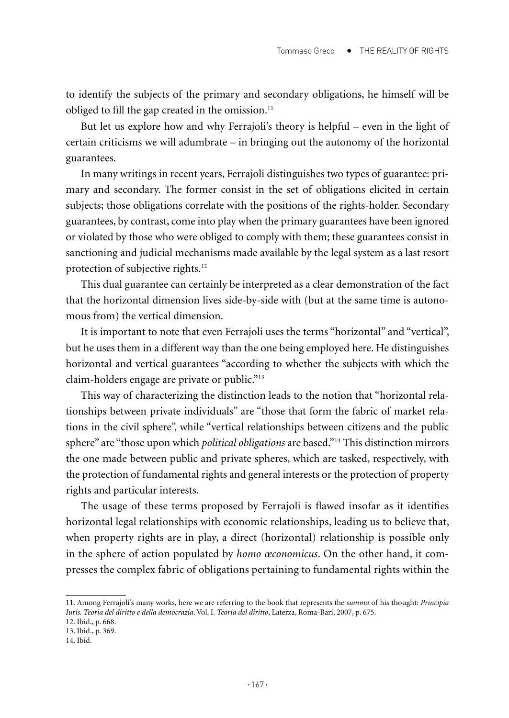to identify the subjects of the primary and secondary obligations, he himself will be obliged to fill the gap created in the omission.<sup>11</sup>

But let us explore how and why Ferrajoli's theory is helpful – even in the light of certain criticisms we will adumbrate – in bringing out the autonomy of the horizontal guarantees.

In many writings in recent years, Ferrajoli distinguishes two types of guarantee: primary and secondary. The former consist in the set of obligations elicited in certain subjects; those obligations correlate with the positions of the rights-holder. Secondary guarantees, by contrast, come into play when the primary guarantees have been ignored or violated by those who were obliged to comply with them; these guarantees consist in sanctioning and judicial mechanisms made available by the legal system as a last resort protection of subjective rights.<sup>12</sup>

This dual guarantee can certainly be interpreted as a clear demonstration of the fact that the horizontal dimension lives side-by-side with (but at the same time is autonomous from) the vertical dimension.

It is important to note that even Ferrajoli uses the terms "horizontal" and "vertical", but he uses them in a different way than the one being employed here. He distinguishes horizontal and vertical guarantees "according to whether the subjects with which the claim-holders engage are private or public."13

This way of characterizing the distinction leads to the notion that "horizontal relationships between private individuals" are "those that form the fabric of market relations in the civil sphere", while "vertical relationships between citizens and the public sphere" are "those upon which *political obligations* are based."14 This distinction mirrors the one made between public and private spheres, which are tasked, respectively, with the protection of fundamental rights and general interests or the protection of property rights and particular interests.

The usage of these terms proposed by Ferrajoli is flawed insofar as it identifies horizontal legal relationships with economic relationships, leading us to believe that, when property rights are in play, a direct (horizontal) relationship is possible only in the sphere of action populated by *homo œconomicus*. On the other hand, it compresses the complex fabric of obligations pertaining to fundamental rights within the

12. Ibid., p. 668.

<sup>11.</sup> Among Ferrajoli's many works, here we are referring to the book that represents the *summa* of his thought: *Principia Iuris. Teoria del diritto e della democrazia*. Vol. I. *Teoria del diritto*, Laterza, Roma-Bari, 2007, p. 675.

<sup>13.</sup> Ibid., p. 369.

<sup>14.</sup> Ibid.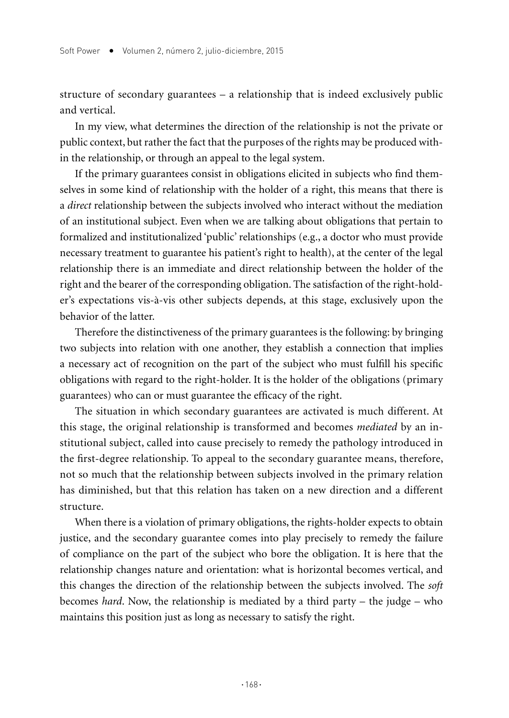structure of secondary guarantees – a relationship that is indeed exclusively public and vertical.

In my view, what determines the direction of the relationship is not the private or public context, but rather the fact that the purposes of the rights may be produced within the relationship, or through an appeal to the legal system.

If the primary guarantees consist in obligations elicited in subjects who find themselves in some kind of relationship with the holder of a right, this means that there is a *direct* relationship between the subjects involved who interact without the mediation of an institutional subject. Even when we are talking about obligations that pertain to formalized and institutionalized 'public' relationships (e.g., a doctor who must provide necessary treatment to guarantee his patient's right to health), at the center of the legal relationship there is an immediate and direct relationship between the holder of the right and the bearer of the corresponding obligation. The satisfaction of the right-holder's expectations vis-à-vis other subjects depends, at this stage, exclusively upon the behavior of the latter.

Therefore the distinctiveness of the primary guarantees is the following: by bringing two subjects into relation with one another, they establish a connection that implies a necessary act of recognition on the part of the subject who must fulfill his specific obligations with regard to the right-holder. It is the holder of the obligations (primary guarantees) who can or must guarantee the efficacy of the right.

The situation in which secondary guarantees are activated is much different. At this stage, the original relationship is transformed and becomes *mediated* by an institutional subject, called into cause precisely to remedy the pathology introduced in the first-degree relationship. To appeal to the secondary guarantee means, therefore, not so much that the relationship between subjects involved in the primary relation has diminished, but that this relation has taken on a new direction and a different structure.

When there is a violation of primary obligations, the rights-holder expects to obtain justice, and the secondary guarantee comes into play precisely to remedy the failure of compliance on the part of the subject who bore the obligation. It is here that the relationship changes nature and orientation: what is horizontal becomes vertical, and this changes the direction of the relationship between the subjects involved. The *soft* becomes *hard*. Now, the relationship is mediated by a third party – the judge – who maintains this position just as long as necessary to satisfy the right.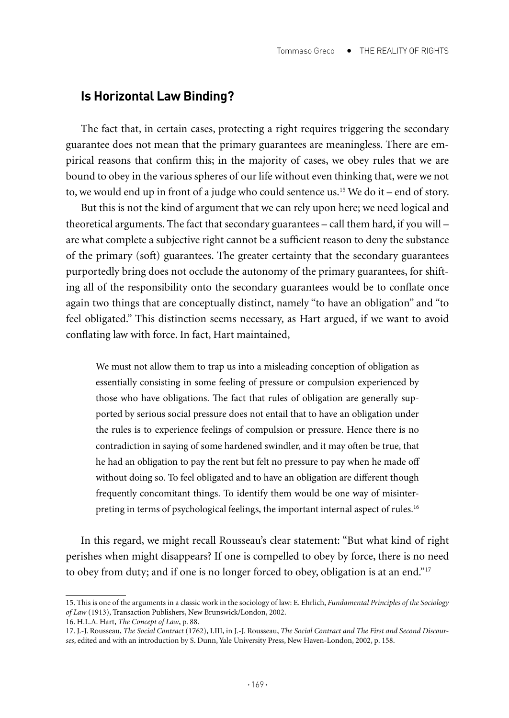### **Is Horizontal Law Binding?**

The fact that, in certain cases, protecting a right requires triggering the secondary guarantee does not mean that the primary guarantees are meaningless. There are empirical reasons that confirm this; in the majority of cases, we obey rules that we are bound to obey in the various spheres of our life without even thinking that, were we not to, we would end up in front of a judge who could sentence us.<sup>15</sup> We do it – end of story.

But this is not the kind of argument that we can rely upon here; we need logical and theoretical arguments. The fact that secondary guarantees – call them hard, if you will – are what complete a subjective right cannot be a sufficient reason to deny the substance of the primary (soft) guarantees. The greater certainty that the secondary guarantees purportedly bring does not occlude the autonomy of the primary guarantees, for shifting all of the responsibility onto the secondary guarantees would be to conflate once again two things that are conceptually distinct, namely "to have an obligation" and "to feel obligated." This distinction seems necessary, as Hart argued, if we want to avoid conflating law with force. In fact, Hart maintained,

We must not allow them to trap us into a misleading conception of obligation as essentially consisting in some feeling of pressure or compulsion experienced by those who have obligations. The fact that rules of obligation are generally supported by serious social pressure does not entail that to have an obligation under the rules is to experience feelings of compulsion or pressure. Hence there is no contradiction in saying of some hardened swindler, and it may often be true, that he had an obligation to pay the rent but felt no pressure to pay when he made off without doing so. To feel obligated and to have an obligation are different though frequently concomitant things. To identify them would be one way of misinterpreting in terms of psychological feelings, the important internal aspect of rules.16

In this regard, we might recall Rousseau's clear statement: "But what kind of right perishes when might disappears? If one is compelled to obey by force, there is no need to obey from duty; and if one is no longer forced to obey, obligation is at an end."<sup>17</sup>

<sup>15.</sup> This is one of the arguments in a classic work in the sociology of law: E. Ehrlich, *Fundamental Principles of the Sociology of Law* (1913), Transaction Publishers, New Brunswick/London, 2002.

<sup>16.</sup> H.L.A. Hart, *The Concept of Law*, p. 88.

<sup>17.</sup> J.-J. Rousseau, *The Social Contract* (1762), I.III, in J.-J. Rousseau, *The Social Contract and The First and Second Discourses*, edited and with an introduction by S. Dunn, Yale University Press, New Haven-London, 2002, p. 158.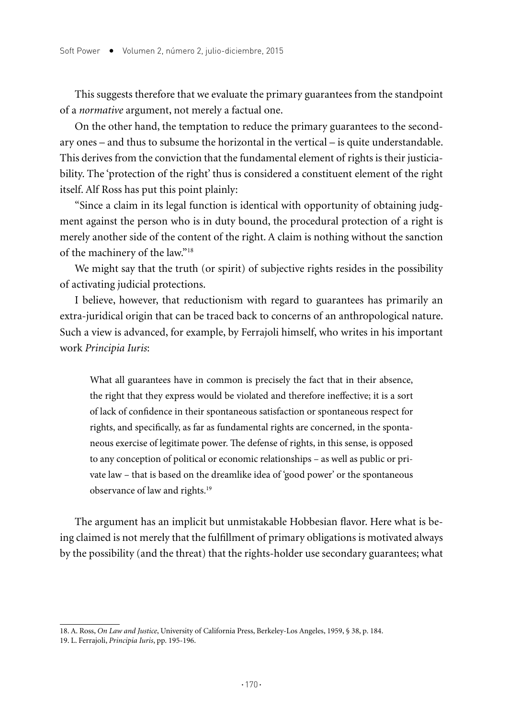This suggests therefore that we evaluate the primary guarantees from the standpoint of a *normative* argument, not merely a factual one.

On the other hand, the temptation to reduce the primary guarantees to the secondary ones – and thus to subsume the horizontal in the vertical – is quite understandable. This derives from the conviction that the fundamental element of rights is their justiciability. The 'protection of the right' thus is considered a constituent element of the right itself. Alf Ross has put this point plainly:

"Since a claim in its legal function is identical with opportunity of obtaining judgment against the person who is in duty bound, the procedural protection of a right is merely another side of the content of the right. A claim is nothing without the sanction of the machinery of the law."18

We might say that the truth (or spirit) of subjective rights resides in the possibility of activating judicial protections.

I believe, however, that reductionism with regard to guarantees has primarily an extra-juridical origin that can be traced back to concerns of an anthropological nature. Such a view is advanced, for example, by Ferrajoli himself, who writes in his important work *Principia Iuris*:

What all guarantees have in common is precisely the fact that in their absence, the right that they express would be violated and therefore ineffective; it is a sort of lack of confidence in their spontaneous satisfaction or spontaneous respect for rights, and specifically, as far as fundamental rights are concerned, in the spontaneous exercise of legitimate power. The defense of rights, in this sense, is opposed to any conception of political or economic relationships – as well as public or private law – that is based on the dreamlike idea of 'good power' or the spontaneous observance of law and rights.19

The argument has an implicit but unmistakable Hobbesian flavor. Here what is being claimed is not merely that the fulfillment of primary obligations is motivated always by the possibility (and the threat) that the rights-holder use secondary guarantees; what

<sup>18.</sup> A. Ross, *On Law and Justice*, University of California Press, Berkeley-Los Angeles, 1959, § 38, p. 184.

<sup>19.</sup> L. Ferrajoli, *Principia Iuris*, pp. 195-196.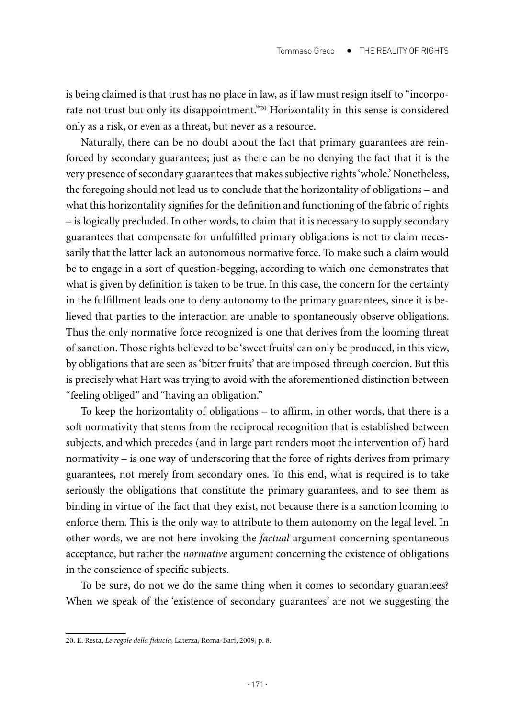is being claimed is that trust has no place in law, as if law must resign itself to "incorporate not trust but only its disappointment."20 Horizontality in this sense is considered only as a risk, or even as a threat, but never as a resource.

Naturally, there can be no doubt about the fact that primary guarantees are reinforced by secondary guarantees; just as there can be no denying the fact that it is the very presence of secondary guarantees that makes subjective rights 'whole.' Nonetheless, the foregoing should not lead us to conclude that the horizontality of obligations – and what this horizontality signifies for the definition and functioning of the fabric of rights – is logically precluded. In other words, to claim that it is necessary to supply secondary guarantees that compensate for unfulfilled primary obligations is not to claim necessarily that the latter lack an autonomous normative force. To make such a claim would be to engage in a sort of question-begging, according to which one demonstrates that what is given by definition is taken to be true. In this case, the concern for the certainty in the fulfillment leads one to deny autonomy to the primary guarantees, since it is believed that parties to the interaction are unable to spontaneously observe obligations. Thus the only normative force recognized is one that derives from the looming threat of sanction. Those rights believed to be 'sweet fruits' can only be produced, in this view, by obligations that are seen as 'bitter fruits' that are imposed through coercion. But this is precisely what Hart was trying to avoid with the aforementioned distinction between "feeling obliged" and "having an obligation."

To keep the horizontality of obligations – to affirm, in other words, that there is a soft normativity that stems from the reciprocal recognition that is established between subjects, and which precedes (and in large part renders moot the intervention of) hard normativity – is one way of underscoring that the force of rights derives from primary guarantees, not merely from secondary ones. To this end, what is required is to take seriously the obligations that constitute the primary guarantees, and to see them as binding in virtue of the fact that they exist, not because there is a sanction looming to enforce them. This is the only way to attribute to them autonomy on the legal level. In other words, we are not here invoking the *factual* argument concerning spontaneous acceptance, but rather the *normative* argument concerning the existence of obligations in the conscience of specific subjects.

To be sure, do not we do the same thing when it comes to secondary guarantees? When we speak of the 'existence of secondary guarantees' are not we suggesting the

<sup>20.</sup> E. Resta, *Le regole della fiducia*, Laterza, Roma-Bari, 2009, p. 8.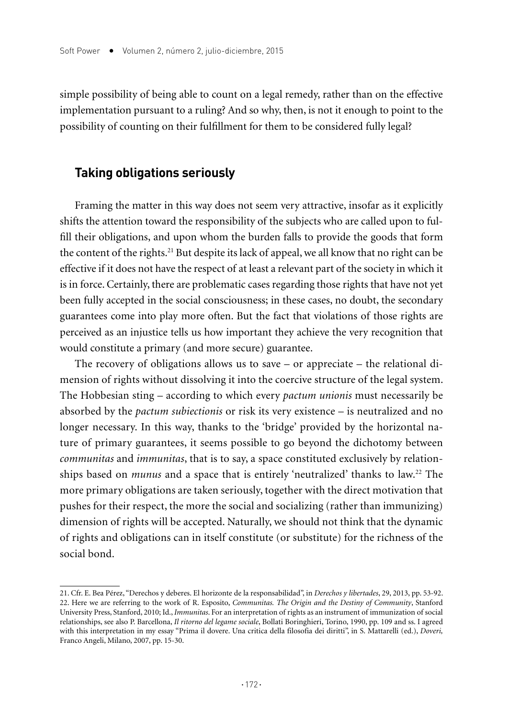simple possibility of being able to count on a legal remedy, rather than on the effective implementation pursuant to a ruling? And so why, then, is not it enough to point to the possibility of counting on their fulfillment for them to be considered fully legal?

## **Taking obligations seriously**

Framing the matter in this way does not seem very attractive, insofar as it explicitly shifts the attention toward the responsibility of the subjects who are called upon to fulfill their obligations, and upon whom the burden falls to provide the goods that form the content of the rights.21 But despite its lack of appeal, we all know that no right can be effective if it does not have the respect of at least a relevant part of the society in which it is in force. Certainly, there are problematic cases regarding those rights that have not yet been fully accepted in the social consciousness; in these cases, no doubt, the secondary guarantees come into play more often. But the fact that violations of those rights are perceived as an injustice tells us how important they achieve the very recognition that would constitute a primary (and more secure) guarantee.

The recovery of obligations allows us to save – or appreciate – the relational dimension of rights without dissolving it into the coercive structure of the legal system. The Hobbesian sting – according to which every *pactum unionis* must necessarily be absorbed by the *pactum subiectionis* or risk its very existence – is neutralized and no longer necessary. In this way, thanks to the 'bridge' provided by the horizontal nature of primary guarantees, it seems possible to go beyond the dichotomy between *communitas* and *immunitas*, that is to say, a space constituted exclusively by relationships based on *munus* and a space that is entirely 'neutralized' thanks to law.22 The more primary obligations are taken seriously, together with the direct motivation that pushes for their respect, the more the social and socializing (rather than immunizing) dimension of rights will be accepted. Naturally, we should not think that the dynamic of rights and obligations can in itself constitute (or substitute) for the richness of the social bond.

<sup>21.</sup> Cfr. E. Bea Pérez, "Derechos y deberes. El horizonte de la responsabilidad", in *Derechos y libertades*, 29, 2013, pp. 53-92. 22. Here we are referring to the work of R. Esposito, *Communitas. The Origin and the Destiny of Community*, Stanford University Press, Stanford, 2010; Id., *Immunitas*. For an interpretation of rights as an instrument of immunization of social relationships, see also P. Barcellona, *Il ritorno del legame sociale*, Bollati Boringhieri, Torino, 1990, pp. 109 and ss. I agreed with this interpretation in my essay "Prima il dovere. Una critica della filosofia dei diritti", in S. Mattarelli (ed.), *Doveri,*  Franco Angeli, Milano, 2007, pp. 15-30.